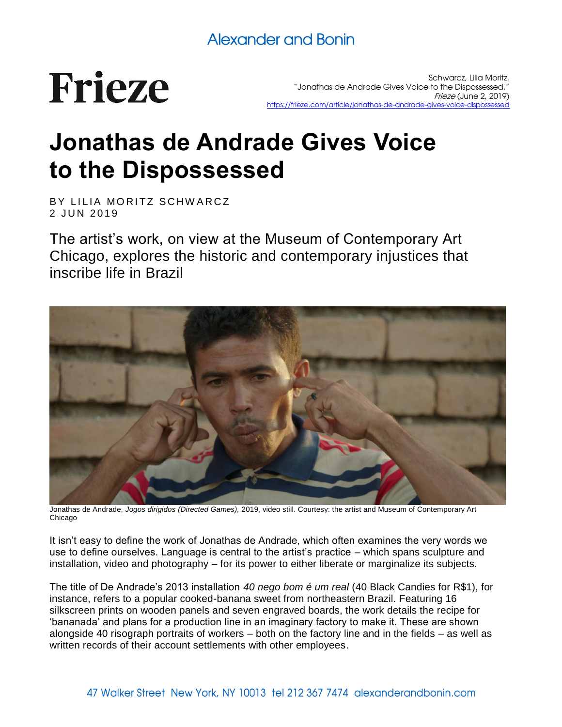# **Frieze**

Schwarcz, Lilia Moritz. "Jonathas de Andrade Gives Voice to the Dispossessed." Frieze (June 2, 2019) <https://frieze.com/article/jonathas-de-andrade-gives-voice-dispossessed>

## **Jonathas de Andrade Gives Voice to the Dispossessed**

BY LILIA MORITZ SCHWARCZ 2 JUN 2019

The artist's work, on view at the Museum of Contemporary Art Chicago, explores the historic and contemporary injustices that inscribe life in Brazil



Jonathas de Andrade, *Jogos dirigidos (Directed Games),* 2019, video still. Courtesy: the artist and Museum of Contemporary Art Chicago

It isn't easy to define the work of Jonathas de Andrade, which often examines the very words we use to define ourselves. Language is central to the artist's practice – which spans sculpture and installation, video and photography – for its power to either liberate or marginalize its subjects.

The title of De Andrade's 2013 installation *40 nego bom é um real* (40 Black Candies for R\$1), for instance, refers to a popular cooked-banana sweet from northeastern Brazil. Featuring 16 silkscreen prints on wooden panels and seven engraved boards, the work details the recipe for 'bananada' and plans for a production line in an imaginary factory to make it. These are shown alongside 40 risograph portraits of workers – both on the factory line and in the fields – as well as written records of their account settlements with other employees.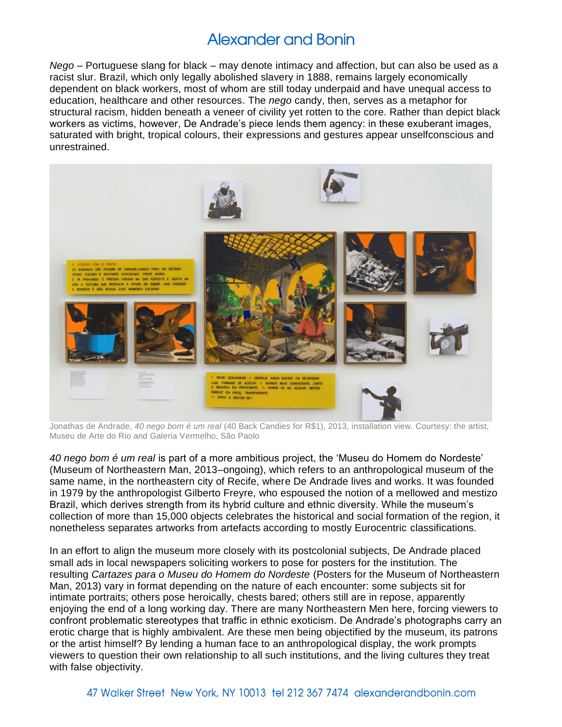*Nego* – Portuguese slang for black – may denote intimacy and affection, but can also be used as a racist slur. Brazil, which only legally abolished slavery in 1888, remains largely economically dependent on black workers, most of whom are still today underpaid and have unequal access to education, healthcare and other resources. The *nego* candy, then, serves as a metaphor for structural racism, hidden beneath a veneer of civility yet rotten to the core. Rather than depict black workers as victims, however, De Andrade's piece lends them agency: in these exuberant images, saturated with bright, tropical colours, their expressions and gestures appear unselfconscious and unrestrained.



Jonathas de Andrade, *40 nego bom é um real* (40 Back Candies for R\$1), 2013, installation view. Courtesy: the artist, Museu de Arte do Rio and Galeria Vermelho, São Paolo

*40 nego bom é um real* is part of a more ambitious project, the 'Museu do Homem do Nordeste' (Museum of Northeastern Man, 2013–ongoing), which refers to an anthropological museum of the same name, in the northeastern city of Recife, where De Andrade lives and works. It was founded in 1979 by the anthropologist Gilberto Freyre, who espoused the notion of a mellowed and mestizo Brazil, which derives strength from its hybrid culture and ethnic diversity. While the museum's collection of more than 15,000 objects celebrates the historical and social formation of the region, it nonetheless separates artworks from artefacts according to mostly Eurocentric classifications.

In an effort to align the museum more closely with its postcolonial subjects, De Andrade placed small ads in local newspapers soliciting workers to pose for posters for the institution. The resulting *Cartazes para o Museu do Homem do Nordeste* (Posters for the Museum of Northeastern Man, 2013) vary in format depending on the nature of each encounter: some subjects sit for intimate portraits; others pose heroically, chests bared; others still are in repose, apparently enjoying the end of a long working day. There are many Northeastern Men here, forcing viewers to confront problematic stereotypes that traffic in ethnic exoticism. De Andrade's photographs carry an erotic charge that is highly ambivalent. Are these men being objectified by the museum, its patrons or the artist himself? By lending a human face to an anthropological display, the work prompts viewers to question their own relationship to all such institutions, and the living cultures they treat with false objectivity.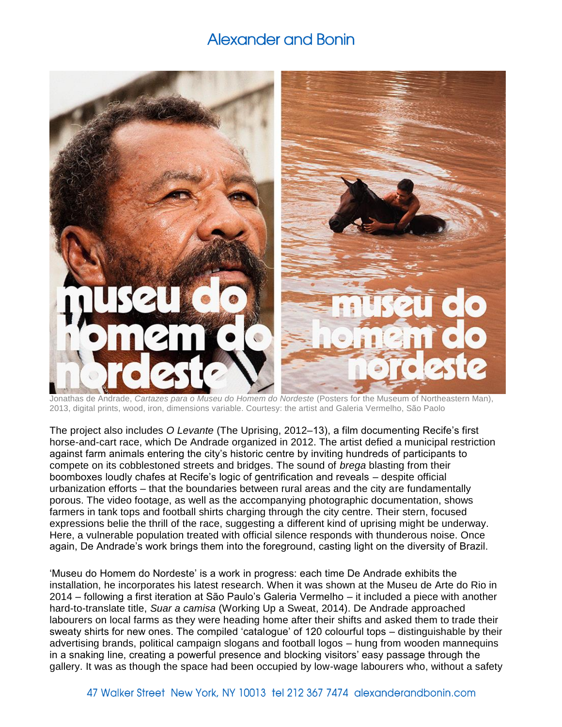

Jonathas de Andrade, *Cartazes para o Museu do Homem do Nordeste* (Posters for the Museum of Northeastern Man), 2013, digital prints, wood, iron, dimensions variable. Courtesy: the artist and Galeria Vermelho, São Paolo

The project also includes *O Levante* (The Uprising, 2012–13), a film documenting Recife's first horse-and-cart race, which De Andrade organized in 2012. The artist defied a municipal restriction against farm animals entering the city's historic centre by inviting hundreds of participants to compete on its cobblestoned streets and bridges. The sound of *brega* blasting from their boomboxes loudly chafes at Recife's logic of gentrification and reveals – despite official urbanization efforts – that the boundaries between rural areas and the city are fundamentally porous. The video footage, as well as the accompanying photographic documentation, shows farmers in tank tops and football shirts charging through the city centre. Their stern, focused expressions belie the thrill of the race, suggesting a different kind of uprising might be underway. Here, a vulnerable population treated with official silence responds with thunderous noise. Once again, De Andrade's work brings them into the foreground, casting light on the diversity of Brazil.

'Museu do Homem do Nordeste' is a work in progress: each time De Andrade exhibits the installation, he incorporates his latest research. When it was shown at the Museu de Arte do Rio in 2014 – following a first iteration at São Paulo's Galeria Vermelho – it included a piece with another hard-to-translate title, *Suar a camisa* (Working Up a Sweat, 2014). De Andrade approached labourers on local farms as they were heading home after their shifts and asked them to trade their sweaty shirts for new ones. The compiled 'catalogue' of 120 colourful tops – distinguishable by their advertising brands, political campaign slogans and football logos – hung from wooden mannequins in a snaking line, creating a powerful presence and blocking visitors' easy passage through the gallery. It was as though the space had been occupied by low-wage labourers who, without a safety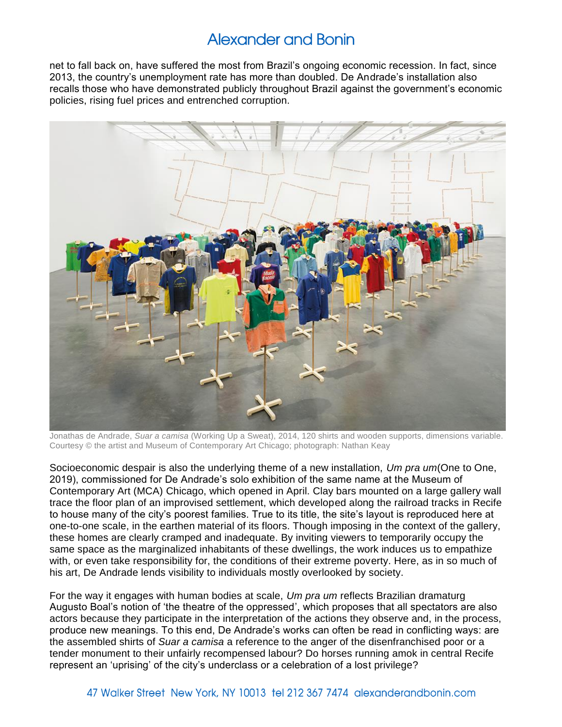net to fall back on, have suffered the most from Brazil's ongoing economic recession. In fact, since 2013, the country's unemployment rate has more than doubled. De Andrade's installation also recalls those who have demonstrated publicly throughout Brazil against the government's economic policies, rising fuel prices and entrenched corruption.



Jonathas de Andrade, *Suar a camisa* (Working Up a Sweat), 2014, 120 shirts and wooden supports, dimensions variable. Courtesy © the artist and Museum of Contemporary Art Chicago; photograph: Nathan Keay

Socioeconomic despair is also the underlying theme of a new installation, *Um pra um*(One to One, 2019), commissioned for De Andrade's solo exhibition of the same name at the Museum of Contemporary Art (MCA) Chicago, which opened in April. Clay bars mounted on a large gallery wall trace the floor plan of an improvised settlement, which developed along the railroad tracks in Recife to house many of the city's poorest families. True to its title, the site's layout is reproduced here at one-to-one scale, in the earthen material of its floors. Though imposing in the context of the gallery, these homes are clearly cramped and inadequate. By inviting viewers to temporarily occupy the same space as the marginalized inhabitants of these dwellings, the work induces us to empathize with, or even take responsibility for, the conditions of their extreme poverty. Here, as in so much of his art, De Andrade lends visibility to individuals mostly overlooked by society.

For the way it engages with human bodies at scale, *Um pra um* reflects Brazilian dramaturg Augusto Boal's notion of 'the theatre of the oppressed', which proposes that all spectators are also actors because they participate in the interpretation of the actions they observe and, in the process, produce new meanings. To this end, De Andrade's works can often be read in conflicting ways: are the assembled shirts of *Suar a camisa* a reference to the anger of the disenfranchised poor or a tender monument to their unfairly recompensed labour? Do horses running amok in central Recife represent an 'uprising' of the city's underclass or a celebration of a lost privilege?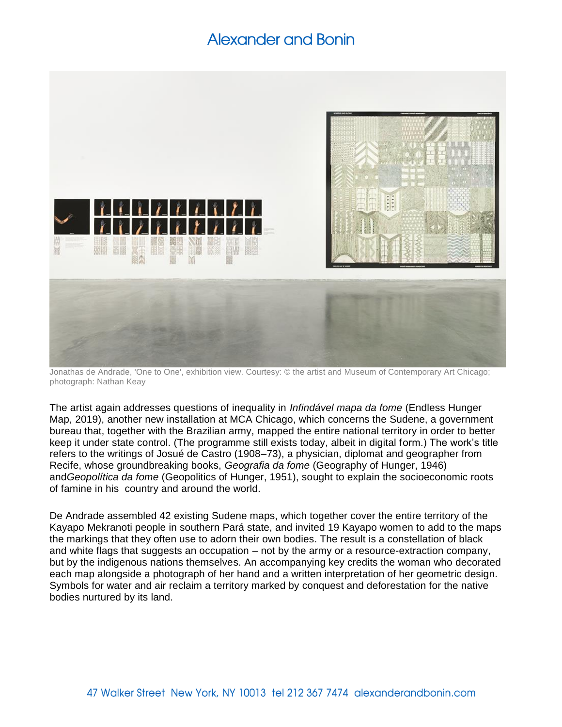

Jonathas de Andrade, 'One to One', exhibition view. Courtesy: © the artist and Museum of Contemporary Art Chicago; photograph: Nathan Keay

The artist again addresses questions of inequality in *Infindável mapa da fome* (Endless Hunger Map, 2019), another new installation at MCA Chicago, which concerns the Sudene, a government bureau that, together with the Brazilian army, mapped the entire national territory in order to better keep it under state control. (The programme still exists today, albeit in digital form.) The work's title refers to the writings of Josué de Castro (1908–73), a physician, diplomat and geographer from Recife, whose groundbreaking books, *Geografia da fome* (Geography of Hunger, 1946) and*Geopolítica da fome* (Geopolitics of Hunger, 1951), sought to explain the socioeconomic roots of famine in his country and around the world.

De Andrade assembled 42 existing Sudene maps, which together cover the entire territory of the Kayapo Mekranoti people in southern Pará state, and invited 19 Kayapo women to add to the maps the markings that they often use to adorn their own bodies. The result is a constellation of black and white flags that suggests an occupation – not by the army or a resource-extraction company, but by the indigenous nations themselves. An accompanying key credits the woman who decorated each map alongside a photograph of her hand and a written interpretation of her geometric design. Symbols for water and air reclaim a territory marked by conquest and deforestation for the native bodies nurtured by its land.